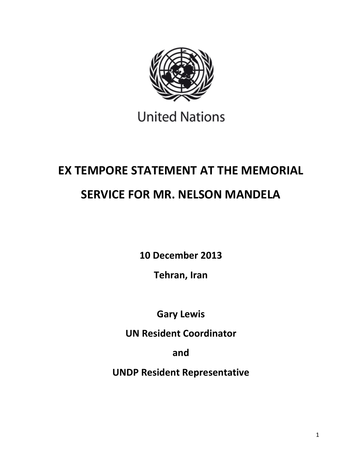

## **United Nations**

# **EX TEMPORE STATEMENT AT THE MEMORIAL SERVICE FOR MR. NELSON MANDELA**

**10 December 2013**

**Tehran, Iran**

**Gary Lewis**

**UN Resident Coordinator**

**and**

**UNDP Resident Representative**